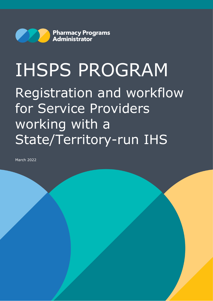

# IHSPS PROGRAM Registration and workflow for Service Providers working with a State/Territory-run IHS

March 2022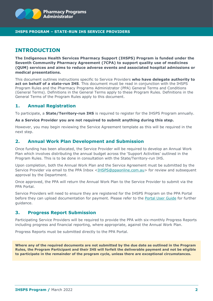

#### **IHSPS PROGRAM – STATE-RUN IHS SERVICE PROVIDERS**

## **INTRODUCTION**

**The Indigenous Health Services Pharmacy Support (IHSPS) Program is funded under the Seventh Community Pharmacy Agreement (7CPA) to support quality use of medicines (QUM) services and aims to reduce adverse events and associated hospital admissions or medical presentations.** 

This document outlines instructions specific to Service Providers **who have delegate authority to act on behalf of a state-run IHS**. This document must be read in conjunction with the IHSPS Program Rules and the Pharmacy Programs Administrator (PPA) General Terms and Conditions (General Terms). Definitions in the General Terms apply to these Program Rules. Definitions in the General Terms of the Program Rules apply to this document.

## **1. Annual Registration**

To participate, a **State/Territory-run IHS** is required to register for the IHSPS Program annually.

#### **As a Service Provider you are not required to submit anything during this step.**

However, you may begin reviewing the Service Agreement template as this will be required in the next step.

## **2. Annual Work Plan Development and Submission**

Once funding has been allocated, the Service Provider will be required to develop an Annual Work Plan which involves distributing the annual budget across the 'Support Activities' outlined in the Program Rules. This is to be done in consultation with the State/Territory-run IHS.

Upon completion, both the Annual Work Plan and the Service Agreement must be submitted by the Service Provider via email to the PPA Inbox [<IHSPS@ppaonline.com.au>](mailto:IHSPS@ppaonline.com.au) for review and subsequent approval by the Department.

Once approved, the PPA will return the Annual Work Plan to the Service Provider to submit via the PPA Portal.

Service Providers will need to ensure they are registered for the IHSPS Program on the PPA Portal before they can upload documentation for payment. Please refer to the [Portal User Guide](https://www.ppaonline.com.au/wp-content/uploads/2021/06/IHSPS-Portal-User-Guide.pdf) for further guidance.

#### **3. Progress Report Submission**

Participating Service Providers will be required to provide the PPA with six-monthly Progress Reports including progress and financial reporting, where appropriate, against the Annual Work Plan.

Progress Reports must be submitted directly to the PPA Portal.

**Where any of the required documents are not submitted by the due date as outlined in the Program Rules, the Program Participant and their IHS will forfeit the deliverable payment and not be eligible to participate in the remainder of the program cycle, unless there are exceptional circumstances.**